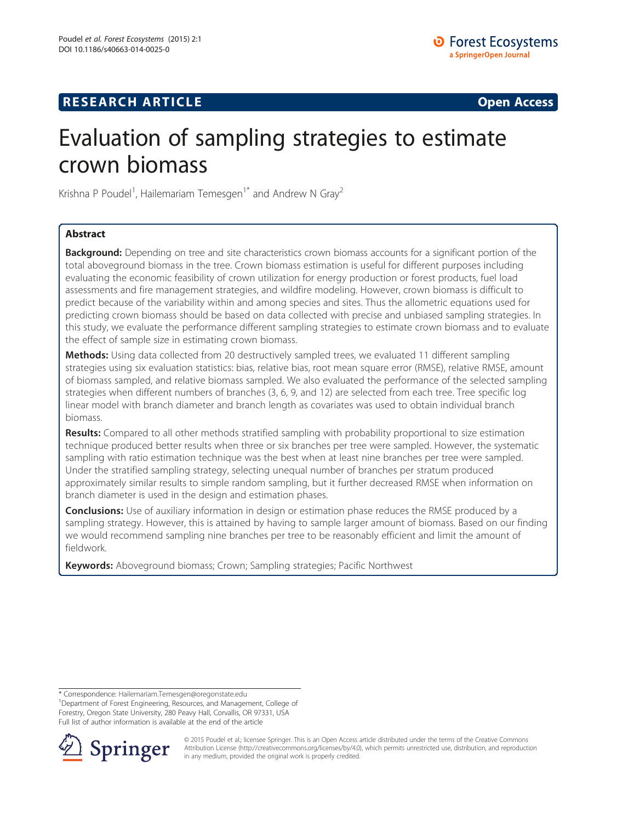## **RESEARCH ARTICLE Example 2014 12:30 The SEAR CHA RTICLE**

# Evaluation of sampling strategies to estimate crown biomass

Krishna P Poudel<sup>1</sup>, Hailemariam Temesgen<sup>1\*</sup> and Andrew N Gray<sup>2</sup>

## Abstract

**Background:** Depending on tree and site characteristics crown biomass accounts for a significant portion of the total aboveground biomass in the tree. Crown biomass estimation is useful for different purposes including evaluating the economic feasibility of crown utilization for energy production or forest products, fuel load assessments and fire management strategies, and wildfire modeling. However, crown biomass is difficult to predict because of the variability within and among species and sites. Thus the allometric equations used for predicting crown biomass should be based on data collected with precise and unbiased sampling strategies. In this study, we evaluate the performance different sampling strategies to estimate crown biomass and to evaluate the effect of sample size in estimating crown biomass.

Methods: Using data collected from 20 destructively sampled trees, we evaluated 11 different sampling strategies using six evaluation statistics: bias, relative bias, root mean square error (RMSE), relative RMSE, amount of biomass sampled, and relative biomass sampled. We also evaluated the performance of the selected sampling strategies when different numbers of branches (3, 6, 9, and 12) are selected from each tree. Tree specific log linear model with branch diameter and branch length as covariates was used to obtain individual branch biomass.

Results: Compared to all other methods stratified sampling with probability proportional to size estimation technique produced better results when three or six branches per tree were sampled. However, the systematic sampling with ratio estimation technique was the best when at least nine branches per tree were sampled. Under the stratified sampling strategy, selecting unequal number of branches per stratum produced approximately similar results to simple random sampling, but it further decreased RMSE when information on branch diameter is used in the design and estimation phases.

**Conclusions:** Use of auxiliary information in design or estimation phase reduces the RMSE produced by a sampling strategy. However, this is attained by having to sample larger amount of biomass. Based on our finding we would recommend sampling nine branches per tree to be reasonably efficient and limit the amount of fieldwork.

Keywords: Aboveground biomass; Crown; Sampling strategies; Pacific Northwest

<sup>1</sup>Department of Forest Engineering, Resources, and Management, College of Forestry, Oregon State University, 280 Peavy Hall, Corvallis, OR 97331, USA Full list of author information is available at the end of the article



© 2015 Poudel et al.; licensee Springer. This is an Open Access article distributed under the terms of the Creative Commons Attribution License [\(http://creativecommons.org/licenses/by/4.0\)](http://creativecommons.org/licenses/by/4.0), which permits unrestricted use, distribution, and reproduction in any medium, provided the original work is properly credited.

<sup>\*</sup> Correspondence: [Hailemariam.Temesgen@oregonstate.edu](mailto:Hailemariam.Temesgen@oregonstate.edu) <sup>1</sup>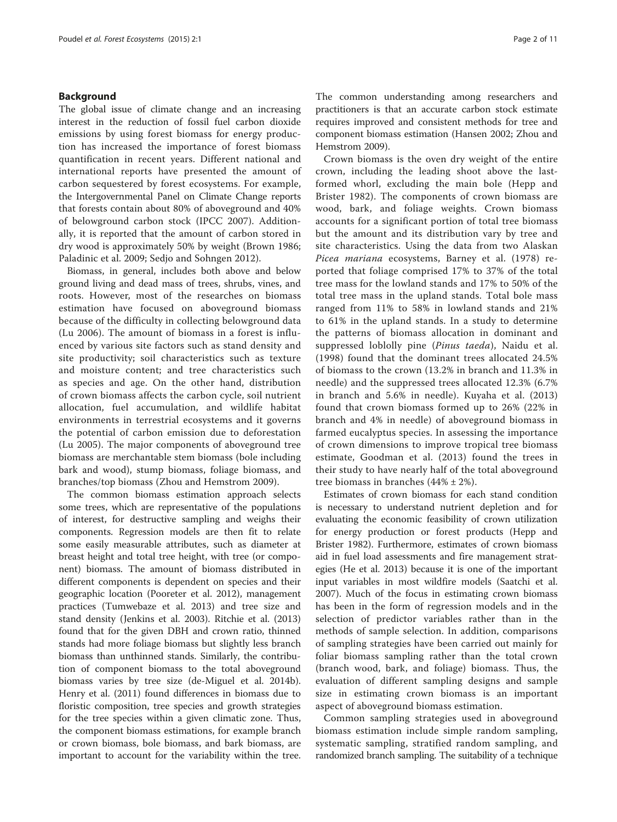#### Background

The global issue of climate change and an increasing interest in the reduction of fossil fuel carbon dioxide emissions by using forest biomass for energy production has increased the importance of forest biomass quantification in recent years. Different national and international reports have presented the amount of carbon sequestered by forest ecosystems. For example, the Intergovernmental Panel on Climate Change reports that forests contain about 80% of aboveground and 40% of belowground carbon stock (IPCC [2007\)](#page-9-0). Additionally, it is reported that the amount of carbon stored in dry wood is approximately 50% by weight (Brown [1986](#page-9-0); Paladinic et al. [2009;](#page-9-0) Sedjo and Sohngen [2012\)](#page-9-0).

Biomass, in general, includes both above and below ground living and dead mass of trees, shrubs, vines, and roots. However, most of the researches on biomass estimation have focused on aboveground biomass because of the difficulty in collecting belowground data (Lu [2006](#page-9-0)). The amount of biomass in a forest is influenced by various site factors such as stand density and site productivity; soil characteristics such as texture and moisture content; and tree characteristics such as species and age. On the other hand, distribution of crown biomass affects the carbon cycle, soil nutrient allocation, fuel accumulation, and wildlife habitat environments in terrestrial ecosystems and it governs the potential of carbon emission due to deforestation (Lu [2005](#page-9-0)). The major components of aboveground tree biomass are merchantable stem biomass (bole including bark and wood), stump biomass, foliage biomass, and branches/top biomass (Zhou and Hemstrom [2009](#page-10-0)).

The common biomass estimation approach selects some trees, which are representative of the populations of interest, for destructive sampling and weighs their components. Regression models are then fit to relate some easily measurable attributes, such as diameter at breast height and total tree height, with tree (or component) biomass. The amount of biomass distributed in different components is dependent on species and their geographic location (Pooreter et al. [2012\)](#page-9-0), management practices (Tumwebaze et al. [2013](#page-10-0)) and tree size and stand density (Jenkins et al. [2003\)](#page-9-0). Ritchie et al. ([2013](#page-9-0)) found that for the given DBH and crown ratio, thinned stands had more foliage biomass but slightly less branch biomass than unthinned stands. Similarly, the contribution of component biomass to the total aboveground biomass varies by tree size (de-Miguel et al. [2014b](#page-9-0)). Henry et al. [\(2011\)](#page-9-0) found differences in biomass due to floristic composition, tree species and growth strategies for the tree species within a given climatic zone. Thus, the component biomass estimations, for example branch or crown biomass, bole biomass, and bark biomass, are important to account for the variability within the tree. The common understanding among researchers and practitioners is that an accurate carbon stock estimate requires improved and consistent methods for tree and component biomass estimation (Hansen [2002](#page-9-0); Zhou and Hemstrom [2009](#page-10-0)).

Crown biomass is the oven dry weight of the entire crown, including the leading shoot above the lastformed whorl, excluding the main bole (Hepp and Brister [1982\)](#page-9-0). The components of crown biomass are wood, bark, and foliage weights. Crown biomass accounts for a significant portion of total tree biomass but the amount and its distribution vary by tree and site characteristics. Using the data from two Alaskan Picea mariana ecosystems, Barney et al. [\(1978\)](#page-9-0) reported that foliage comprised 17% to 37% of the total tree mass for the lowland stands and 17% to 50% of the total tree mass in the upland stands. Total bole mass ranged from 11% to 58% in lowland stands and 21% to 61% in the upland stands. In a study to determine the patterns of biomass allocation in dominant and suppressed loblolly pine (Pinus taeda), Naidu et al. ([1998](#page-9-0)) found that the dominant trees allocated 24.5% of biomass to the crown (13.2% in branch and 11.3% in needle) and the suppressed trees allocated 12.3% (6.7% in branch and 5.6% in needle). Kuyaha et al. ([2013](#page-9-0)) found that crown biomass formed up to 26% (22% in branch and 4% in needle) of aboveground biomass in farmed eucalyptus species. In assessing the importance of crown dimensions to improve tropical tree biomass estimate, Goodman et al. ([2013](#page-9-0)) found the trees in their study to have nearly half of the total aboveground tree biomass in branches (44% ± 2%).

Estimates of crown biomass for each stand condition is necessary to understand nutrient depletion and for evaluating the economic feasibility of crown utilization for energy production or forest products (Hepp and Brister [1982](#page-9-0)). Furthermore, estimates of crown biomass aid in fuel load assessments and fire management strategies (He et al. [2013](#page-9-0)) because it is one of the important input variables in most wildfire models (Saatchi et al. [2007](#page-9-0)). Much of the focus in estimating crown biomass has been in the form of regression models and in the selection of predictor variables rather than in the methods of sample selection. In addition, comparisons of sampling strategies have been carried out mainly for foliar biomass sampling rather than the total crown (branch wood, bark, and foliage) biomass. Thus, the evaluation of different sampling designs and sample size in estimating crown biomass is an important aspect of aboveground biomass estimation.

Common sampling strategies used in aboveground biomass estimation include simple random sampling, systematic sampling, stratified random sampling, and randomized branch sampling. The suitability of a technique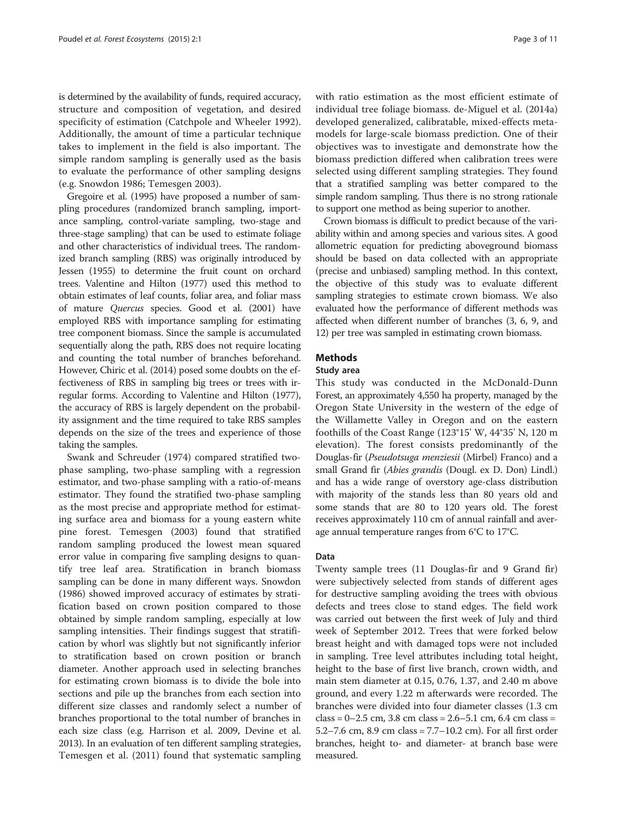is determined by the availability of funds, required accuracy, structure and composition of vegetation, and desired specificity of estimation (Catchpole and Wheeler [1992](#page-9-0)). Additionally, the amount of time a particular technique takes to implement in the field is also important. The simple random sampling is generally used as the basis to evaluate the performance of other sampling designs (e.g. Snowdon [1986;](#page-9-0) Temesgen [2003](#page-9-0)).

Gregoire et al. [\(1995](#page-9-0)) have proposed a number of sampling procedures (randomized branch sampling, importance sampling, control-variate sampling, two-stage and three-stage sampling) that can be used to estimate foliage and other characteristics of individual trees. The randomized branch sampling (RBS) was originally introduced by Jessen [\(1955](#page-9-0)) to determine the fruit count on orchard trees. Valentine and Hilton ([1977\)](#page-10-0) used this method to obtain estimates of leaf counts, foliar area, and foliar mass of mature Quercus species. Good et al. [\(2001\)](#page-9-0) have employed RBS with importance sampling for estimating tree component biomass. Since the sample is accumulated sequentially along the path, RBS does not require locating and counting the total number of branches beforehand. However, Chiric et al. [\(2014](#page-9-0)) posed some doubts on the effectiveness of RBS in sampling big trees or trees with irregular forms. According to Valentine and Hilton [\(1977](#page-10-0)), the accuracy of RBS is largely dependent on the probability assignment and the time required to take RBS samples depends on the size of the trees and experience of those taking the samples.

Swank and Schreuder ([1974](#page-9-0)) compared stratified twophase sampling, two-phase sampling with a regression estimator, and two-phase sampling with a ratio-of-means estimator. They found the stratified two-phase sampling as the most precise and appropriate method for estimating surface area and biomass for a young eastern white pine forest. Temesgen [\(2003\)](#page-9-0) found that stratified random sampling produced the lowest mean squared error value in comparing five sampling designs to quantify tree leaf area. Stratification in branch biomass sampling can be done in many different ways. Snowdon ([1986](#page-9-0)) showed improved accuracy of estimates by stratification based on crown position compared to those obtained by simple random sampling, especially at low sampling intensities. Their findings suggest that stratification by whorl was slightly but not significantly inferior to stratification based on crown position or branch diameter. Another approach used in selecting branches for estimating crown biomass is to divide the bole into sections and pile up the branches from each section into different size classes and randomly select a number of branches proportional to the total number of branches in each size class (e.g. Harrison et al. [2009](#page-9-0), Devine et al. [2013\)](#page-9-0). In an evaluation of ten different sampling strategies, Temesgen et al. ([2011\)](#page-9-0) found that systematic sampling

with ratio estimation as the most efficient estimate of individual tree foliage biomass. de-Miguel et al. ([2014a](#page-9-0)) developed generalized, calibratable, mixed-effects metamodels for large-scale biomass prediction. One of their objectives was to investigate and demonstrate how the biomass prediction differed when calibration trees were selected using different sampling strategies. They found that a stratified sampling was better compared to the simple random sampling. Thus there is no strong rationale to support one method as being superior to another.

Crown biomass is difficult to predict because of the variability within and among species and various sites. A good allometric equation for predicting aboveground biomass should be based on data collected with an appropriate (precise and unbiased) sampling method. In this context, the objective of this study was to evaluate different sampling strategies to estimate crown biomass. We also evaluated how the performance of different methods was affected when different number of branches (3, 6, 9, and 12) per tree was sampled in estimating crown biomass.

#### **Methods**

#### Study area

This study was conducted in the McDonald-Dunn Forest, an approximately 4,550 ha property, managed by the Oregon State University in the western of the edge of the Willamette Valley in Oregon and on the eastern foothills of the Coast Range (123°15' W, 44°35' N, 120 m elevation). The forest consists predominantly of the Douglas-fir (Pseudotsuga menziesii (Mirbel) Franco) and a small Grand fir (Abies grandis (Dougl. ex D. Don) Lindl.) and has a wide range of overstory age-class distribution with majority of the stands less than 80 years old and some stands that are 80 to 120 years old. The forest receives approximately 110 cm of annual rainfall and average annual temperature ranges from 6°C to 17°C.

#### Data

Twenty sample trees (11 Douglas-fir and 9 Grand fir) were subjectively selected from stands of different ages for destructive sampling avoiding the trees with obvious defects and trees close to stand edges. The field work was carried out between the first week of July and third week of September 2012. Trees that were forked below breast height and with damaged tops were not included in sampling. Tree level attributes including total height, height to the base of first live branch, crown width, and main stem diameter at 0.15, 0.76, 1.37, and 2.40 m above ground, and every 1.22 m afterwards were recorded. The branches were divided into four diameter classes (1.3 cm class = 0–2.5 cm, 3.8 cm class = 2.6–5.1 cm, 6.4 cm class = 5.2–7.6 cm, 8.9 cm class = 7.7–10.2 cm). For all first order branches, height to- and diameter- at branch base were measured.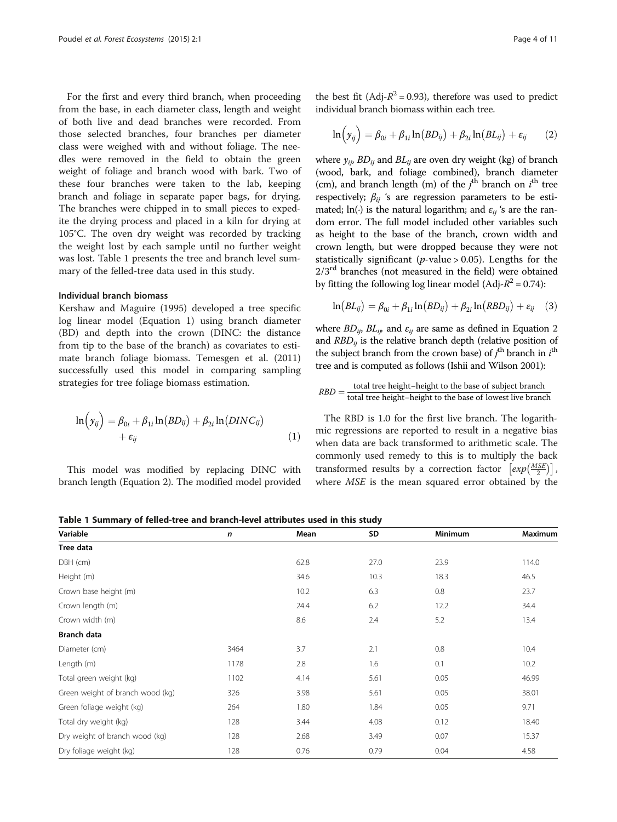<span id="page-3-0"></span>For the first and every third branch, when proceeding from the base, in each diameter class, length and weight of both live and dead branches were recorded. From those selected branches, four branches per diameter class were weighed with and without foliage. The needles were removed in the field to obtain the green weight of foliage and branch wood with bark. Two of these four branches were taken to the lab, keeping branch and foliage in separate paper bags, for drying. The branches were chipped in to small pieces to expedite the drying process and placed in a kiln for drying at 105°C. The oven dry weight was recorded by tracking the weight lost by each sample until no further weight was lost. Table 1 presents the tree and branch level summary of the felled-tree data used in this study.

#### Individual branch biomass

Kershaw and Maguire ([1995\)](#page-9-0) developed a tree specific log linear model (Equation 1) using branch diameter (BD) and depth into the crown (DINC: the distance from tip to the base of the branch) as covariates to estimate branch foliage biomass. Temesgen et al. ([2011](#page-9-0)) successfully used this model in comparing sampling strategies for tree foliage biomass estimation.

$$
\ln(y_{ij}) = \beta_{0i} + \beta_{1i} \ln(BD_{ij}) + \beta_{2i} \ln(DINC_{ij}) + \varepsilon_{ij}
$$
\n(1)

This model was modified by replacing DINC with branch length (Equation 2). The modified model provided

$$
\ln(y_{ij}) = \beta_{0i} + \beta_{1i} \ln(BD_{ij}) + \beta_{2i} \ln(BL_{ij}) + \varepsilon_{ij}
$$
 (2)

where  $y_{ij}$ ,  $BD_{ij}$  and  $BL_{ij}$  are oven dry weight (kg) of branch (wood, bark, and foliage combined), branch diameter (cm), and branch length (m) of the  $j^{\text{th}}$  branch on  $i^{\text{th}}$  tree respectively;  $\beta_{ij}$  's are regression parameters to be estimated;  $ln(·)$  is the natural logarithm; and  $\varepsilon_{ij}$  's are the random error. The full model included other variables such as height to the base of the branch, crown width and crown length, but were dropped because they were not statistically significant ( $p$ -value > 0.05). Lengths for the  $2/3<sup>rd</sup>$  branches (not measured in the field) were obtained by fitting the following log linear model (Adj- $R^2 = 0.74$ ):

$$
\ln\bigl(BL_{ij}\bigr) = \beta_{0i} + \beta_{1i}\ln\bigl(BD_{ij}\bigr) + \beta_{2i}\ln\bigl(RBD_{ij}\bigr) + \varepsilon_{ij} \quad (3)
$$

where  $BD_{ij}$ ,  $BL_{ij}$  and  $\varepsilon_{ij}$  are same as defined in Equation 2 and  $RBD_{ij}$  is the relative branch depth (relative position of the subject branch from the crown base) of  $j<sup>th</sup>$  branch in  $i<sup>th</sup>$ tree and is computed as follows (Ishii and Wilson [2001\)](#page-9-0):

$$
RBD = \frac{\text{total tree height-height to the base of subject branch}}{\text{total tree height-height to the base of lowest live branch}}
$$

The RBD is 1.0 for the first live branch. The logarithmic regressions are reported to result in a negative bias when data are back transformed to arithmetic scale. The commonly used remedy to this is to multiply the back transformed results by a correction factor  $\left[ exp(\frac{MSE}{2}) \right]$ , where MSE is the mean squared error obtained by the

Table 1 Summary of felled-tree and branch-level attributes used in this study

| Variable                         | n    | Mean | SD   | Minimum | Maximum |
|----------------------------------|------|------|------|---------|---------|
| Tree data                        |      |      |      |         |         |
| DBH (cm)                         |      | 62.8 | 27.0 | 23.9    | 114.0   |
| Height (m)                       |      | 34.6 | 10.3 | 18.3    | 46.5    |
| Crown base height (m)            |      | 10.2 | 6.3  | 0.8     | 23.7    |
| Crown length (m)                 |      | 24.4 | 6.2  | 12.2    | 34.4    |
| Crown width (m)                  |      | 8.6  | 2.4  | 5.2     | 13.4    |
| <b>Branch data</b>               |      |      |      |         |         |
| Diameter (cm)                    | 3464 | 3.7  | 2.1  | 0.8     | 10.4    |
| Length (m)                       | 1178 | 2.8  | 1.6  | 0.1     | 10.2    |
| Total green weight (kg)          | 1102 | 4.14 | 5.61 | 0.05    | 46.99   |
| Green weight of branch wood (kg) | 326  | 3.98 | 5.61 | 0.05    | 38.01   |
| Green foliage weight (kg)        | 264  | 1.80 | 1.84 | 0.05    | 9.71    |
| Total dry weight (kg)            | 128  | 3.44 | 4.08 | 0.12    | 18.40   |
| Dry weight of branch wood (kg)   | 128  | 2.68 | 3.49 | 0.07    | 15.37   |
| Dry foliage weight (kg)          | 128  | 0.76 | 0.79 | 0.04    | 4.58    |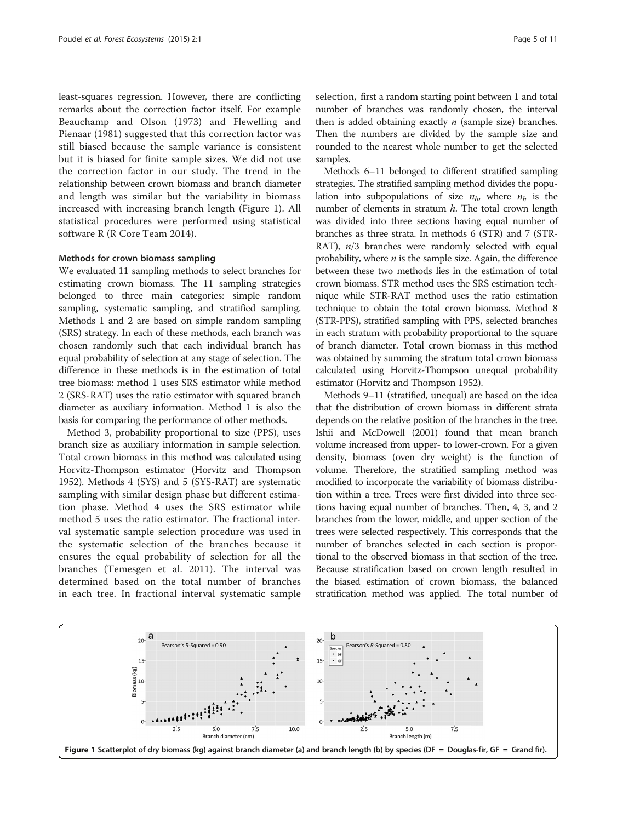least-squares regression. However, there are conflicting remarks about the correction factor itself. For example Beauchamp and Olson ([1973\)](#page-9-0) and Flewelling and Pienaar [\(1981](#page-9-0)) suggested that this correction factor was still biased because the sample variance is consistent but it is biased for finite sample sizes. We did not use the correction factor in our study. The trend in the relationship between crown biomass and branch diameter and length was similar but the variability in biomass increased with increasing branch length (Figure 1). All statistical procedures were performed using statistical software R (R Core Team [2014](#page-9-0)).

#### Methods for crown biomass sampling

We evaluated 11 sampling methods to select branches for estimating crown biomass. The 11 sampling strategies belonged to three main categories: simple random sampling, systematic sampling, and stratified sampling. Methods 1 and 2 are based on simple random sampling (SRS) strategy. In each of these methods, each branch was chosen randomly such that each individual branch has equal probability of selection at any stage of selection. The difference in these methods is in the estimation of total tree biomass: method 1 uses SRS estimator while method 2 (SRS-RAT) uses the ratio estimator with squared branch diameter as auxiliary information. Method 1 is also the basis for comparing the performance of other methods.

Method 3, probability proportional to size (PPS), uses branch size as auxiliary information in sample selection. Total crown biomass in this method was calculated using Horvitz-Thompson estimator (Horvitz and Thompson [1952\)](#page-9-0). Methods 4 (SYS) and 5 (SYS-RAT) are systematic sampling with similar design phase but different estimation phase. Method 4 uses the SRS estimator while method 5 uses the ratio estimator. The fractional interval systematic sample selection procedure was used in the systematic selection of the branches because it ensures the equal probability of selection for all the branches (Temesgen et al. [2011\)](#page-9-0). The interval was determined based on the total number of branches in each tree. In fractional interval systematic sample selection, first a random starting point between 1 and total number of branches was randomly chosen, the interval then is added obtaining exactly  $n$  (sample size) branches. Then the numbers are divided by the sample size and rounded to the nearest whole number to get the selected samples.

Methods 6–11 belonged to different stratified sampling strategies. The stratified sampling method divides the population into subpopulations of size  $n_h$ , where  $n_h$  is the number of elements in stratum  $h$ . The total crown length was divided into three sections having equal number of branches as three strata. In methods 6 (STR) and 7 (STR-RAT),  $n/3$  branches were randomly selected with equal probability, where  $n$  is the sample size. Again, the difference between these two methods lies in the estimation of total crown biomass. STR method uses the SRS estimation technique while STR-RAT method uses the ratio estimation technique to obtain the total crown biomass. Method 8 (STR-PPS), stratified sampling with PPS, selected branches in each stratum with probability proportional to the square of branch diameter. Total crown biomass in this method was obtained by summing the stratum total crown biomass calculated using Horvitz-Thompson unequal probability estimator (Horvitz and Thompson [1952](#page-9-0)).

Methods 9–11 (stratified, unequal) are based on the idea that the distribution of crown biomass in different strata depends on the relative position of the branches in the tree. Ishii and McDowell ([2001\)](#page-9-0) found that mean branch volume increased from upper- to lower-crown. For a given density, biomass (oven dry weight) is the function of volume. Therefore, the stratified sampling method was modified to incorporate the variability of biomass distribution within a tree. Trees were first divided into three sections having equal number of branches. Then, 4, 3, and 2 branches from the lower, middle, and upper section of the trees were selected respectively. This corresponds that the number of branches selected in each section is proportional to the observed biomass in that section of the tree. Because stratification based on crown length resulted in the biased estimation of crown biomass, the balanced stratification method was applied. The total number of

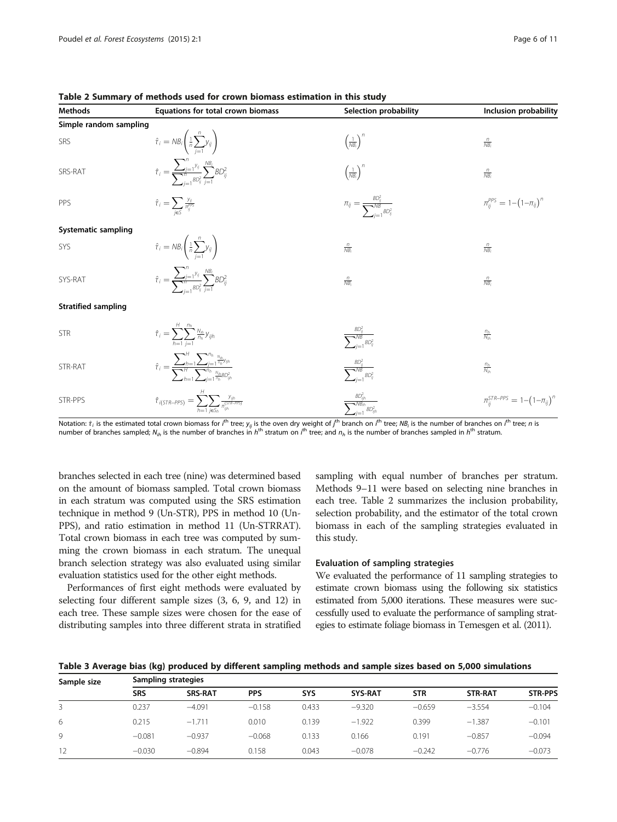| Page o or |  |
|-----------|--|
|           |  |

| <b>Methods</b>             | Equations for total crown biomass                                                                                                              | Selection probability                                        | Inclusion probability                       |
|----------------------------|------------------------------------------------------------------------------------------------------------------------------------------------|--------------------------------------------------------------|---------------------------------------------|
| Simple random sampling     |                                                                                                                                                |                                                              |                                             |
| SRS                        | $\hat{\tau}_i = NB_i \left( \frac{1}{n} \sum_{i=1}^n y_{ij} \right)$                                                                           | $\left(\frac{1}{NB_i}\right)^{11}$                           | $\frac{n}{NB_i}$                            |
| SRS-RAT                    | $\hat{\tau}_i = \frac{\sum_{j=1}^n y_{ij}}{\sum_{i=1}^n B D_{ij}^2} \sum_{i=1}^{NB_i} BD_{ij}^2$                                               | $\left(\frac{1}{NB_i}\right)^n$                              | $\frac{n}{NB_i}$                            |
| PPS                        | $\hat{\tau}_i = \sum_{i \in S} \frac{y_{ij}}{\pi_{ij}^{\text{PPS}}}$                                                                           | $\pi_{ij} = \frac{BD_{ij}^2}{\sum_{i=1}^{NB} BD_{ij}^2}$     | $\pi_{ii}^{PPS} = 1 - (1 - \pi_{ii})^n$     |
| <b>Systematic sampling</b> |                                                                                                                                                |                                                              |                                             |
| <b>SYS</b>                 | $\hat{\tau}_i = NB_i \left( \frac{1}{n} \sum_{i=1}^n y_{ij} \right)$                                                                           | $\frac{n}{NB_i}$                                             | $\frac{n}{NB_i}$                            |
| SYS-RAT                    | $\hat{\tau}_i = \frac{\sum_{j=1}^n y_{ij}}{\sum_{i=1}^n BD_i^2} \sum_{i=1}^{NB_i} BD_{ij}^2$                                                   | $\frac{n}{NB_i}$                                             | $\frac{n}{NB_i}$                            |
| <b>Stratified sampling</b> |                                                                                                                                                |                                                              |                                             |
| <b>STR</b>                 | $\hat{\tau}_i = \sum_{k=1}^{H} \sum_{i=1}^{n_h} \frac{N_{ih}}{n_h} y_{ijh}$                                                                    | $\frac{BD_{ij}^2}{\sum\nolimits_{i=1}^{NB} BD_{ij}^2}$       | $\frac{n_h}{N_{ih}}$                        |
| STR-RAT                    | $\hat{\tau}_i = \frac{\sum_{h=1}^H \sum_{j=1}^{n_h} \frac{N_{ih}}{n_h} y_{ijh}}{\sum_{h=1}^H \sum_{i=1}^{n_h} \frac{N_{ih}}{n_h} B D_{ijh}^2}$ | $\frac{BD_{ij}^2}{\sum\nolimits_{j=1}^{NB}BD_{ij}^2}$        | $\frac{n_h}{N_{ih}}$                        |
| STR-PPS                    | $\hat{\tau}_{i(STR-PPS)} = \sum_{h=1}^{H} \sum_{i \in S} \frac{y_{ijh}}{\pi_{ijh}^{(STR-PPS)}}$                                                | $\frac{BD_{ijh}^2}{\sum\nolimits_{j=1}^{NB_{ih}}BD_{ijh}^2}$ | $\pi_{ii}^{STR-PPS} = 1 - (1 - \pi_{ii})^n$ |

<span id="page-5-0"></span>Table 2 Summary of methods used for crown biomass estimation in this study

Notation:  $\hat{\tau}_i$  is the estimated total crown biomass for  $i^{\text{th}}$  tree;  $y_{ij}$  is the oven dry weight of  $j^{\text{th}}$  branch on  $i^{\text{th}}$  tree;  $\mathcal{B}_i$  is the number of branches on  $i^{\text{th}}$  tree;  $n$  is number of branches sampled;  $N_{ih}$  is the number of branches in  $h^{\text{th}}$  stratum on  $h^{\text{th}}$  tree; and  $n_h$  is the number of branches sampled in  $h^{\text{th}}$  stratum.

branches selected in each tree (nine) was determined based on the amount of biomass sampled. Total crown biomass in each stratum was computed using the SRS estimation technique in method 9 (Un-STR), PPS in method 10 (Un-PPS), and ratio estimation in method 11 (Un-STRRAT). Total crown biomass in each tree was computed by summing the crown biomass in each stratum. The unequal branch selection strategy was also evaluated using similar evaluation statistics used for the other eight methods.

Performances of first eight methods were evaluated by selecting four different sample sizes (3, 6, 9, and 12) in each tree. These sample sizes were chosen for the ease of distributing samples into three different strata in stratified

sampling with equal number of branches per stratum. Methods 9–11 were based on selecting nine branches in each tree. Table 2 summarizes the inclusion probability, selection probability, and the estimator of the total crown biomass in each of the sampling strategies evaluated in this study.

#### Evaluation of sampling strategies

We evaluated the performance of 11 sampling strategies to estimate crown biomass using the following six statistics estimated from 5,000 iterations. These measures were successfully used to evaluate the performance of sampling strategies to estimate foliage biomass in Temesgen et al. ([2011](#page-9-0)).

Table 3 Average bias (kg) produced by different sampling methods and sample sizes based on 5,000 simulations

| Sample size | Sampling strategies |                |            |            |                |            |          |                |  |  |
|-------------|---------------------|----------------|------------|------------|----------------|------------|----------|----------------|--|--|
|             | <b>SRS</b>          | <b>SRS-RAT</b> | <b>PPS</b> | <b>SYS</b> | <b>SYS-RAT</b> | <b>STR</b> | STR-RAT  | <b>STR-PPS</b> |  |  |
|             | 0.237               | $-4.091$       | $-0.158$   | 0.433      | $-9.320$       | $-0.659$   | $-3.554$ | $-0.104$       |  |  |
| 6           | 0.215               | $-1.711$       | 0.010      | 0.139      | $-1.922$       | 0.399      | $-1.387$ | $-0.101$       |  |  |
| 9           | $-0.081$            | $-0.937$       | $-0.068$   | 0.133      | 0.166          | 0.191      | $-0.857$ | $-0.094$       |  |  |
| 12          | $-0.030$            | $-0.894$       | 0.158      | 0.043      | $-0.078$       | $-0.242$   | $-0.776$ | $-0.073$       |  |  |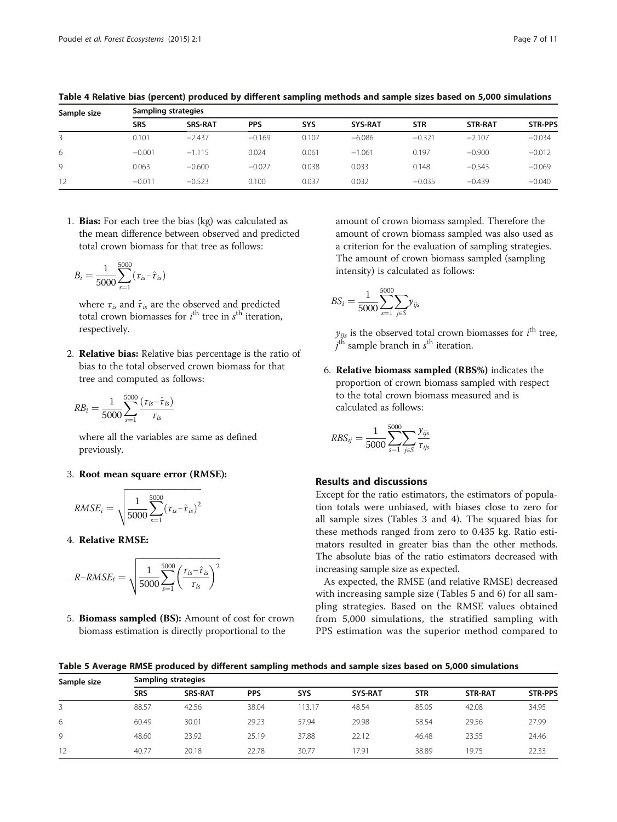| Sample size | Sampling strategies |                |            |            |                |            |                |                |  |  |
|-------------|---------------------|----------------|------------|------------|----------------|------------|----------------|----------------|--|--|
|             | SRS                 | <b>SRS-RAT</b> | <b>PPS</b> | <b>SYS</b> | <b>SYS-RAT</b> | <b>STR</b> | <b>STR-RAT</b> | <b>STR-PPS</b> |  |  |
|             | 0.101               | $-2.437$       | $-0.169$   | 0.107      | $-6.086$       | $-0.321$   | $-2.107$       | $-0.034$       |  |  |
| 6           | $-0.001$            | $-1.115$       | 0.024      | 0.061      | $-1.061$       | 0.197      | $-0.900$       | $-0.012$       |  |  |
| Q           | 0.063               | $-0.600$       | $-0.027$   | 0.038      | 0.033          | 0.148      | $-0.543$       | $-0.069$       |  |  |
| 12          | $-0.011$            | $-0.523$       | 0.100      | 0.037      | 0.032          | $-0.035$   | $-0.439$       | $-0.040$       |  |  |

Table 4 Relative bias (percent) produced by different sampling methods and sample sizes based on 5,000 simulations

1. Bias: For each tree the bias (kg) was calculated as the mean difference between observed and predicted total crown biomass for that tree as follows:

Sampling strategies

$$
B_i = \frac{1}{5000} \sum_{s=1}^{5000} (\tau_{is} - \hat{\tau}_{is})
$$

where  $\tau_{is}$  and  $\hat{\tau}_{is}$  are the observed and predicted total crown biomasses for  $i^{\text{th}}$  tree in  $s^{\text{th}}$  iteration, respectively.

2. Relative bias: Relative bias percentage is the ratio of bias to the total observed crown biomass for that tree and computed as follows:

$$
RB_i = \frac{1}{5000} \sum_{s=1}^{5000} \frac{(\tau_{is} - \hat{\tau}_{is})}{\tau_{is}}
$$

where all the variables are same as defined previously.

#### 3. Root mean square error (RMSE):

$$
RMSE_i = \sqrt{\frac{1}{5000} \sum_{s=1}^{5000} (\tau_{is} - \hat{\tau}_{is})^2}
$$

4. Relative RMSE:

$$
R - RMSE_i = \sqrt{\frac{1}{5000} \sum_{s=1}^{5000} \left(\frac{\tau_{is} - \hat{\tau}_{is}}{\tau_{is}}\right)^2}
$$

5. Biomass sampled (BS): Amount of cost for crown biomass estimation is directly proportional to the

amount of crown biomass sampled. Therefore the amount of crown biomass sampled was also used as a criterion for the evaluation of sampling strategies. The amount of crown biomass sampled (sampling intensity) is calculated as follows:

$$
BS_i = \frac{1}{5000} \sum_{s=1}^{5000} \sum_{j \in S} y_{ijs}
$$

 $y_{ijs}$  is the observed total crown biomasses for  $i^{\text{th}}$  tree,  $j^{\rm th}$  sample branch in  $s^{\rm th}$  iteration.

6. Relative biomass sampled (RBS%) indicates the proportion of crown biomass sampled with respect to the total crown biomass measured and is calculated as follows:

$$
RBS_{ij} = \frac{1}{5000} \sum_{s=1}^{5000} \sum_{j \in S} \frac{y_{ijs}}{\tau_{ijs}}
$$

#### Results and discussions

Except for the ratio estimators, the estimators of population totals were unbiased, with biases close to zero for all sample sizes (Tables [3](#page-5-0) and 4). The squared bias for these methods ranged from zero to 0.435 kg. Ratio estimators resulted in greater bias than the other methods. The absolute bias of the ratio estimators decreased with increasing sample size as expected.

As expected, the RMSE (and relative RMSE) decreased with increasing sample size (Tables 5 and [6](#page-7-0)) for all sampling strategies. Based on the RMSE values obtained from 5,000 simulations, the stratified sampling with PPS estimation was the superior method compared to

Table 5 Average RMSE produced by different sampling methods and sample sizes based on 5,000 simulations

| Sample size | Sampling strategies |                |            |            |                |            |         |                |  |  |
|-------------|---------------------|----------------|------------|------------|----------------|------------|---------|----------------|--|--|
|             | <b>SRS</b>          | <b>SRS-RAT</b> | <b>PPS</b> | <b>SYS</b> | <b>SYS-RAT</b> | <b>STR</b> | STR-RAT | <b>STR-PPS</b> |  |  |
|             | 88.57               | 42.56          | 38.04      | 113.17     | 48.54          | 85.05      | 42.08   | 34.95          |  |  |
| 6           | 60.49               | 30.01          | 29.23      | 57.94      | 29.98          | 58.54      | 29.56   | 27.99          |  |  |
| Q           | 48.60               | 23.92          | 25.19      | 37.88      | 22.12          | 46.48      | 23.55   | 24.46          |  |  |
| 12          | 40.77               | 20.18          | 22.78      | 30.77      | 7.91           | 38.89      | 19.75   | 22.33          |  |  |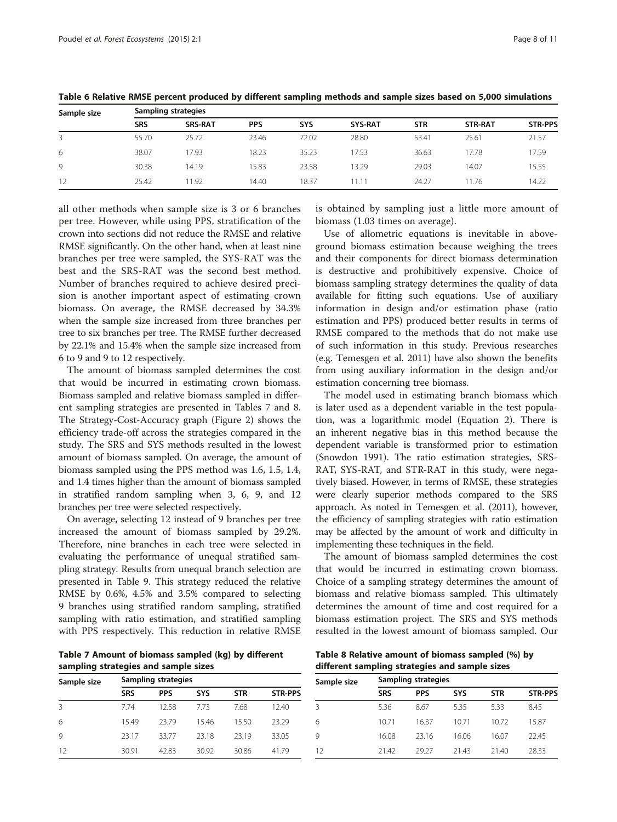| Sample size | Sampling strategies |                |            |            |                |            |                |                |  |  |
|-------------|---------------------|----------------|------------|------------|----------------|------------|----------------|----------------|--|--|
|             | <b>SRS</b>          | <b>SRS-RAT</b> | <b>PPS</b> | <b>SYS</b> | <b>SYS-RAT</b> | <b>STR</b> | <b>STR-RAT</b> | <b>STR-PPS</b> |  |  |
| 3           | 55.70               | 25.72          | 23.46      | 72.02      | 28.80          | 53.41      | 25.61          | 21.57          |  |  |
| 6           | 38.07               | 17.93          | 18.23      | 35.23      | 17.53          | 36.63      | 17.78          | 17.59          |  |  |
| 9           | 30.38               | 14.19          | 15.83      | 23.58      | 13.29          | 29.03      | 14.07          | 15.55          |  |  |
| 12          | 25.42               | 1.92           | 14.40      | 18.37      | 11.11          | 24.27      | 11.76          | 14.22          |  |  |

<span id="page-7-0"></span>Table 6 Relative RMSE percent produced by different sampling methods and sample sizes based on 5,000 simulations

all other methods when sample size is 3 or 6 branches per tree. However, while using PPS, stratification of the crown into sections did not reduce the RMSE and relative RMSE significantly. On the other hand, when at least nine branches per tree were sampled, the SYS-RAT was the best and the SRS-RAT was the second best method. Number of branches required to achieve desired precision is another important aspect of estimating crown biomass. On average, the RMSE decreased by 34.3% when the sample size increased from three branches per tree to six branches per tree. The RMSE further decreased by 22.1% and 15.4% when the sample size increased from 6 to 9 and 9 to 12 respectively.

The amount of biomass sampled determines the cost that would be incurred in estimating crown biomass. Biomass sampled and relative biomass sampled in different sampling strategies are presented in Tables 7 and 8. The Strategy-Cost-Accuracy graph (Figure [2\)](#page-8-0) shows the efficiency trade-off across the strategies compared in the study. The SRS and SYS methods resulted in the lowest amount of biomass sampled. On average, the amount of biomass sampled using the PPS method was 1.6, 1.5, 1.4, and 1.4 times higher than the amount of biomass sampled in stratified random sampling when 3, 6, 9, and 12 branches per tree were selected respectively.

On average, selecting 12 instead of 9 branches per tree increased the amount of biomass sampled by 29.2%. Therefore, nine branches in each tree were selected in evaluating the performance of unequal stratified sampling strategy. Results from unequal branch selection are presented in Table [9](#page-8-0). This strategy reduced the relative RMSE by 0.6%, 4.5% and 3.5% compared to selecting 9 branches using stratified random sampling, stratified sampling with ratio estimation, and stratified sampling with PPS respectively. This reduction in relative RMSE

Table 7 Amount of biomass sampled (kg) by different sampling strategies and sample sizes

is obtained by sampling just a little more amount of biomass (1.03 times on average).

Use of allometric equations is inevitable in aboveground biomass estimation because weighing the trees and their components for direct biomass determination is destructive and prohibitively expensive. Choice of biomass sampling strategy determines the quality of data available for fitting such equations. Use of auxiliary information in design and/or estimation phase (ratio estimation and PPS) produced better results in terms of RMSE compared to the methods that do not make use of such information in this study. Previous researches (e.g. Temesgen et al. [2011\)](#page-9-0) have also shown the benefits from using auxiliary information in the design and/or estimation concerning tree biomass.

The model used in estimating branch biomass which is later used as a dependent variable in the test population, was a logarithmic model (Equation [2\)](#page-3-0). There is an inherent negative bias in this method because the dependent variable is transformed prior to estimation (Snowdon [1991](#page-9-0)). The ratio estimation strategies, SRS-RAT, SYS-RAT, and STR-RAT in this study, were negatively biased. However, in terms of RMSE, these strategies were clearly superior methods compared to the SRS approach. As noted in Temesgen et al. ([2011](#page-9-0)), however, the efficiency of sampling strategies with ratio estimation may be affected by the amount of work and difficulty in implementing these techniques in the field.

The amount of biomass sampled determines the cost that would be incurred in estimating crown biomass. Choice of a sampling strategy determines the amount of biomass and relative biomass sampled. This ultimately determines the amount of time and cost required for a biomass estimation project. The SRS and SYS methods resulted in the lowest amount of biomass sampled. Our

Table 8 Relative amount of biomass sampled (%) by different sampling strategies and sample sizes

| Sample size | Sampling strategies |            |            |            |                |    |  |
|-------------|---------------------|------------|------------|------------|----------------|----|--|
|             | <b>SRS</b>          | <b>PPS</b> | <b>SYS</b> | <b>STR</b> | <b>STR-PPS</b> |    |  |
|             | 7.74                | 12.58      | 7.73       | 7.68       | 12.40          | 3  |  |
| 6           | 15.49               | 23.79      | 15.46      | 15.50      | 23.29          | 6  |  |
| 9           | 23.17               | 33.77      | 23.18      | 23.19      | 33.05          | 9  |  |
| 12          | 30.91               | 42.83      | 30.92      | 30.86      | 41.79          | 12 |  |

| Sample size | Sampling strategies |            |            |            |                |  |  |  |
|-------------|---------------------|------------|------------|------------|----------------|--|--|--|
|             | <b>SRS</b>          | <b>PPS</b> | <b>SYS</b> | <b>STR</b> | <b>STR-PPS</b> |  |  |  |
|             | 5.36                | 8.67       | 5.35       | 5.33       | 8.45           |  |  |  |
| 6           | 10.71               | 16.37      | 10.71      | 10.72      | 15.87          |  |  |  |
| 9           | 16.08               | 2316       | 16.06      | 16.07      | 22.45          |  |  |  |
| 12          | 21.42               | 29.27      | 21.43      | 21.40      | 28.33          |  |  |  |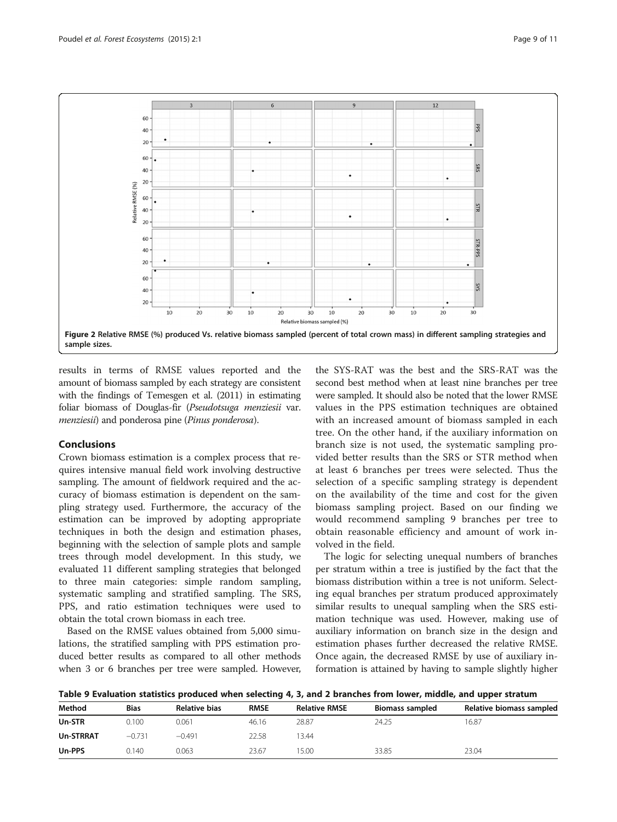<span id="page-8-0"></span>

results in terms of RMSE values reported and the amount of biomass sampled by each strategy are consistent with the findings of Temesgen et al. [\(2011](#page-9-0)) in estimating foliar biomass of Douglas-fir (Pseudotsuga menziesii var. menziesii) and ponderosa pine (Pinus ponderosa).

#### Conclusions

Crown biomass estimation is a complex process that requires intensive manual field work involving destructive sampling. The amount of fieldwork required and the accuracy of biomass estimation is dependent on the sampling strategy used. Furthermore, the accuracy of the estimation can be improved by adopting appropriate techniques in both the design and estimation phases, beginning with the selection of sample plots and sample trees through model development. In this study, we evaluated 11 different sampling strategies that belonged to three main categories: simple random sampling, systematic sampling and stratified sampling. The SRS, PPS, and ratio estimation techniques were used to obtain the total crown biomass in each tree.

Based on the RMSE values obtained from 5,000 simulations, the stratified sampling with PPS estimation produced better results as compared to all other methods when 3 or 6 branches per tree were sampled. However,

the SYS-RAT was the best and the SRS-RAT was the second best method when at least nine branches per tree were sampled. It should also be noted that the lower RMSE values in the PPS estimation techniques are obtained with an increased amount of biomass sampled in each tree. On the other hand, if the auxiliary information on branch size is not used, the systematic sampling provided better results than the SRS or STR method when at least 6 branches per trees were selected. Thus the selection of a specific sampling strategy is dependent on the availability of the time and cost for the given biomass sampling project. Based on our finding we would recommend sampling 9 branches per tree to obtain reasonable efficiency and amount of work involved in the field.

The logic for selecting unequal numbers of branches per stratum within a tree is justified by the fact that the biomass distribution within a tree is not uniform. Selecting equal branches per stratum produced approximately similar results to unequal sampling when the SRS estimation technique was used. However, making use of auxiliary information on branch size in the design and estimation phases further decreased the relative RMSE. Once again, the decreased RMSE by use of auxiliary information is attained by having to sample slightly higher

Table 9 Evaluation statistics produced when selecting 4, 3, and 2 branches from lower, middle, and upper stratum

|                  |          |                      |             | ___                  |                        |                          |
|------------------|----------|----------------------|-------------|----------------------|------------------------|--------------------------|
| Method           | Bias     | <b>Relative bias</b> | <b>RMSE</b> | <b>Relative RMSE</b> | <b>Biomass sampled</b> | Relative biomass sampled |
| Un-STR           | 0.100    | 0.061                | 46.16       | 28.87                | 24.25                  | 16.87                    |
| <b>Un-STRRAT</b> | $-0.731$ | $-0.491$             | 22.58       | 13.44                |                        |                          |
| Un-PPS           | 0.140    | 0.063                | 23.67       | 15.00                | 33.85                  | 23.04                    |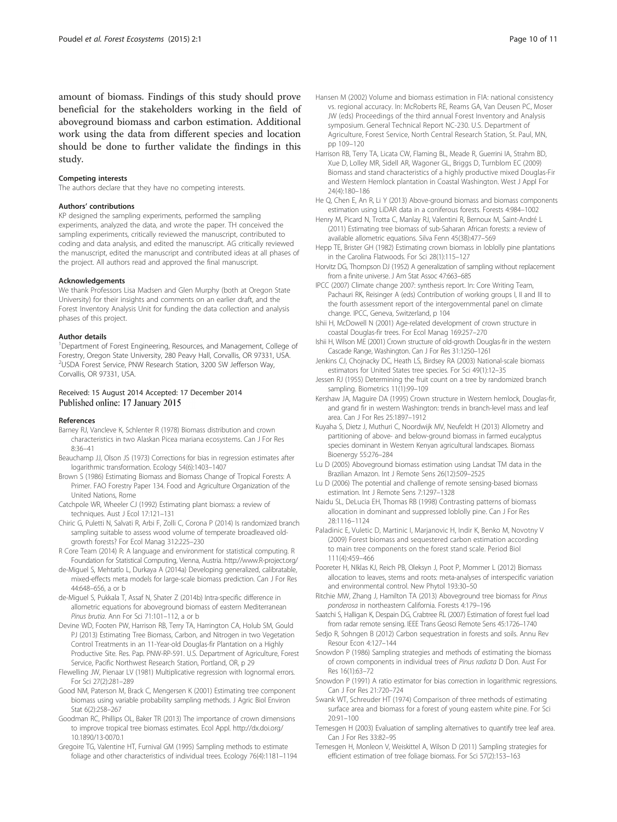<span id="page-9-0"></span>amount of biomass. Findings of this study should prove beneficial for the stakeholders working in the field of aboveground biomass and carbon estimation. Additional work using the data from different species and location should be done to further validate the findings in this study.

#### Competing interests

The authors declare that they have no competing interests.

#### Authors' contributions

KP designed the sampling experiments, performed the sampling experiments, analyzed the data, and wrote the paper. TH conceived the sampling experiments, critically reviewed the manuscript, contributed to coding and data analysis, and edited the manuscript. AG critically reviewed the manuscript, edited the manuscript and contributed ideas at all phases of the project. All authors read and approved the final manuscript.

#### Acknowledgements

We thank Professors Lisa Madsen and Glen Murphy (both at Oregon State University) for their insights and comments on an earlier draft, and the Forest Inventory Analysis Unit for funding the data collection and analysis phases of this project.

#### Author details

<sup>1</sup>Department of Forest Engineering, Resources, and Management, College of Forestry, Oregon State University, 280 Peavy Hall, Corvallis, OR 97331, USA. 2 USDA Forest Service, PNW Research Station, 3200 SW Jefferson Way, Corvallis, OR 97331, USA.

# Received: 15 August 2014 Accepted: 17 December 2014

#### References

- Barney RJ, Vancleve K, Schlenter R (1978) Biomass distribution and crown characteristics in two Alaskan Picea mariana ecosystems. Can J For Res 8:36–41
- Beauchamp JJ, Olson JS (1973) Corrections for bias in regression estimates after logarithmic transformation. Ecology 54(6):1403–1407
- Brown S (1986) Estimating Biomass and Biomass Change of Tropical Forests: A Primer. FAO Forestry Paper 134. Food and Agriculture Organization of the United Nations, Rome
- Catchpole WR, Wheeler CJ (1992) Estimating plant biomass: a review of techniques. Aust J Ecol 17:121–131
- Chiric G, Puletti N, Salvati R, Arbi F, Zolli C, Corona P (2014) Is randomized branch sampling suitable to assess wood volume of temperate broadleaved oldgrowth forests? For Ecol Manag 312:225–230
- R Core Team (2014) R: A language and environment for statistical computing. R Foundation for Statistical Computing, Vienna, Austria.<http://www.R-project.org/>
- de-Miguel S, Mehtatlo L, Durkaya A (2014a) Developing generalized, calibratable, mixed-effects meta models for large-scale biomass prediction. Can J For Res 44:648–656, a or b
- de-Miguel S, Pukkala T, Assaf N, Shater Z (2014b) Intra-specific difference in allometric equations for aboveground biomass of eastern Mediterranean Pinus brutia. Ann For Sci 71:101-112, a or b
- Devine WD, Footen PW, Harrison RB, Terry TA, Harrington CA, Holub SM, Gould PJ (2013) Estimating Tree Biomass, Carbon, and Nitrogen in two Vegetation Control Treatments in an 11-Year-old Douglas-fir Plantation on a Highly Productive Site. Res. Pap. PNW-RP-591. U.S. Department of Agriculture, Forest Service, Pacific Northwest Research Station, Portland, OR, p 29
- Flewelling JW, Pienaar LV (1981) Multiplicative regression with lognormal errors. For Sci 27(2):281–289
- Good NM, Paterson M, Brack C, Mengersen K (2001) Estimating tree component biomass using variable probability sampling methods. J Agric Biol Environ Stat 6(2):258–267
- Goodman RC, Phillips OL, Baker TR (2013) The importance of crown dimensions to improve tropical tree biomass estimates. Ecol Appl. [http://dx.doi.org/](http://dx.doi.org/10.1890/13-0070.1) [10.1890/13-0070.1](http://dx.doi.org/10.1890/13-0070.1)
- Gregoire TG, Valentine HT, Furnival GM (1995) Sampling methods to estimate foliage and other characteristics of individual trees. Ecology 76(4):1181–1194
- Hansen M (2002) Volume and biomass estimation in FIA: national consistency vs. regional accuracy. In: McRoberts RE, Reams GA, Van Deusen PC, Moser JW (eds) Proceedings of the third annual Forest Inventory and Analysis symposium. General Technical Report NC-230. U.S. Department of Agriculture, Forest Service, North Central Research Station, St. Paul, MN, pp 109–120
- Harrison RB, Terry TA, Licata CW, Flaming BL, Meade R, Guerrini IA, Strahm BD, Xue D, Lolley MR, Sidell AR, Wagoner GL, Briggs D, Turnblom EC (2009) Biomass and stand characteristics of a highly productive mixed Douglas-Fir and Western Hemlock plantation in Coastal Washington. West J Appl For 24(4):180–186
- He Q, Chen E, An R, Li Y (2013) Above-ground biomass and biomass components estimation using LiDAR data in a coniferous forests. Forests 4:984–1002
- Henry M, Picard N, Trotta C, Manlay RJ, Valentini R, Bernoux M, Saint-André L (2011) Estimating tree biomass of sub-Saharan African forests: a review of available allometric equations. Silva Fenn 45(3B):477–569
- Hepp TE, Brister GH (1982) Estimating crown biomass in loblolly pine plantations in the Carolina Flatwoods. For Sci 28(1):115–127
- Horvitz DG, Thompson DJ (1952) A generalization of sampling without replacement from a finite universe. J Am Stat Assoc 47:663–685
- IPCC (2007) Climate change 2007: synthesis report. In: Core Writing Team, Pachauri RK, Reisinger A (eds) Contribution of working groups I, II and III to the fourth assessment report of the intergovernmental panel on climate change. IPCC, Geneva, Switzerland, p 104
- Ishii H, McDowell N (2001) Age-related development of crown structure in coastal Douglas-fir trees. For Ecol Manag 169:257–270
- Ishii H, Wilson ME (2001) Crown structure of old-growth Douglas-fir in the western Cascade Range, Washington. Can J For Res 31:1250–1261
- Jenkins CJ, Chojnacky DC, Heath LS, Birdsey RA (2003) National-scale biomass estimators for United States tree species. For Sci 49(1):12–35
- Jessen RJ (1955) Determining the fruit count on a tree by randomized branch sampling. Biometrics 11(1):99–109
- Kershaw JA, Maguire DA (1995) Crown structure in Western hemlock, Douglas-fir, and grand fir in western Washington: trends in branch-level mass and leaf area. Can J For Res 25:1897–1912
- Kuyaha S, Dietz J, Muthuri C, Noordwijk MV, Neufeldt H (2013) Allometry and partitioning of above- and below-ground biomass in farmed eucalyptus species dominant in Western Kenyan agricultural landscapes. Biomass Bioenergy 55:276–284
- Lu D (2005) Aboveground biomass estimation using Landsat TM data in the Brazilian Amazon. Int J Remote Sens 26(12):509–2525
- Lu D (2006) The potential and challenge of remote sensing-based biomass estimation. Int J Remote Sens 7:1297–1328
- Naidu SL, DeLucia EH, Thomas RB (1998) Contrasting patterns of biomass allocation in dominant and suppressed loblolly pine. Can J For Res 28:1116–1124
- Paladinic E, Vuletic D, Martinic I, Marjanovic H, Indir K, Benko M, Novotny V (2009) Forest biomass and sequestered carbon estimation according to main tree components on the forest stand scale. Period Biol 111(4):459–466
- Pooreter H, NIklas KJ, Reich PB, Oleksyn J, Poot P, Mommer L (2012) Biomass allocation to leaves, stems and roots: meta-analyses of interspecific variation and environmental control. New Phytol 193:30–50
- Ritchie MW, Zhang J, Hamilton TA (2013) Aboveground tree biomass for Pinus ponderosa in northeastern California. Forests 4:179–196
- Saatchi S, Halligan K, Despain DG, Crabtree RL (2007) Estimation of forest fuel load from radar remote sensing. IEEE Trans Geosci Remote Sens 45:1726–1740
- Sedjo R, Sohngen B (2012) Carbon sequestration in forests and soils. Annu Rev Resour Econ 4:127–144
- Snowdon P (1986) Sampling strategies and methods of estimating the biomass of crown components in individual trees of Pinus radiata D Don. Aust For Res 16(1):63–72
- Snowdon P (1991) A ratio estimator for bias correction in logarithmic regressions. Can J For Res 21:720–724
- Swank WT, Schreuder HT (1974) Comparison of three methods of estimating surface area and biomass for a forest of young eastern white pine. For Sci 20:91–100
- Temesgen H (2003) Evaluation of sampling alternatives to quantify tree leaf area. Can J For Res 33:82–95
- Temesgen H, Monleon V, Weiskittel A, Wilson D (2011) Sampling strategies for efficient estimation of tree foliage biomass. For Sci 57(2):153–163